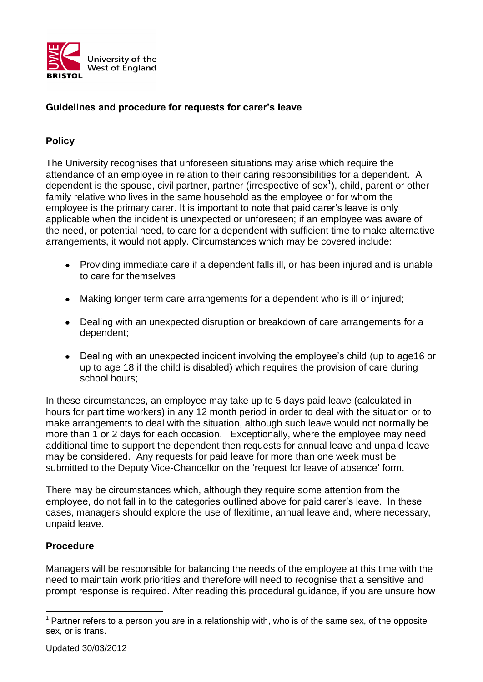

## **Guidelines and procedure for requests for carer's leave**

## **Policy**

The University recognises that unforeseen situations may arise which require the attendance of an employee in relation to their caring responsibilities for a dependent. A dependent is the spouse, civil partner, partner (irrespective of sex<sup>1</sup>), child, parent or other family relative who lives in the same household as the employee or for whom the employee is the primary carer. It is important to note that paid carer's leave is only applicable when the incident is unexpected or unforeseen; if an employee was aware of the need, or potential need, to care for a dependent with sufficient time to make alternative arrangements, it would not apply. Circumstances which may be covered include:

- Providing immediate care if a dependent falls ill, or has been injured and is unable to care for themselves
- Making longer term care arrangements for a dependent who is ill or injured;
- Dealing with an unexpected disruption or breakdown of care arrangements for a dependent;
- Dealing with an unexpected incident involving the employee's child (up to age16 or up to age 18 if the child is disabled) which requires the provision of care during school hours;

In these circumstances, an employee may take up to 5 days paid leave (calculated in hours for part time workers) in any 12 month period in order to deal with the situation or to make arrangements to deal with the situation, although such leave would not normally be more than 1 or 2 days for each occasion. Exceptionally, where the employee may need additional time to support the dependent then requests for annual leave and unpaid leave may be considered. Any requests for paid leave for more than one week must be submitted to the Deputy Vice-Chancellor on the 'request for leave of absence' form.

There may be circumstances which, although they require some attention from the employee, do not fall in to the categories outlined above for paid carer's leave. In these cases, managers should explore the use of flexitime, annual leave and, where necessary, unpaid leave.

## **Procedure**

-

Managers will be responsible for balancing the needs of the employee at this time with the need to maintain work priorities and therefore will need to recognise that a sensitive and prompt response is required. After reading this procedural guidance, if you are unsure how

 $<sup>1</sup>$  Partner refers to a person you are in a relationship with, who is of the same sex, of the opposite</sup> sex, or is trans.